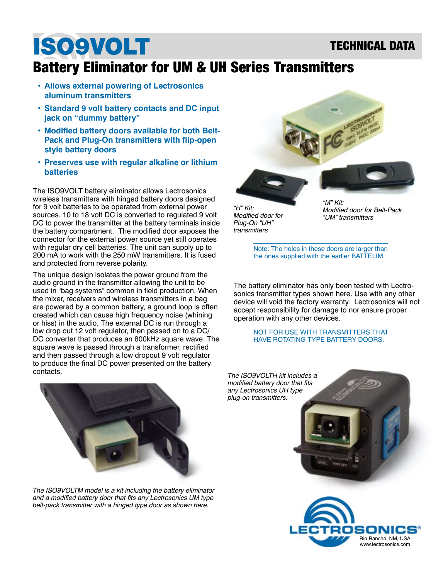### TECHNICAL DATA

# ISO9VOLT

### Battery Eliminator for UM & UH Series Transmitters

- **Allows external powering of Lectrosonics aluminum transmitters**
- **• Standard 9 volt battery contacts and DC input jack on "dummy battery"**
- **• Modified battery doors available for both Belt-Pack and Plug-On transmitters with flip-open style battery doors**
- **• Preserves use with regular alkaline or lithium batteries**

The ISO9VOLT battery eliminator allows Lectrosonics wireless transmitters with hinged battery doors designed for 9 volt batteries to be operated from external power sources. 10 to 18 volt DC is converted to regulated 9 volt DC to power the transmitter at the battery terminals inside the battery compartment. The modified door exposes the connector for the external power source yet still operates with regular dry cell batteries. The unit can supply up to 200 mA to work with the 250 mW transmitters. It is fused and protected from reverse polarity.

The unique design isolates the power ground from the audio ground in the transmitter allowing the unit to be used in "bag systems" common in field production. When the mixer, receivers and wireless transmitters in a bag are powered by a common battery, a ground loop is often created which can cause high frequency noise (whining or hiss) in the audio. The external DC is run through a low drop out 12 volt regulator, then passed on to a DC/ DC converter that produces an 800kHz square wave. The square wave is passed through a transformer, rectified and then passed through a low dropout 9 volt regulator to produce the final DC power presented on the battery contacts.



"H" Kit: Modified door for Plug-On "UH" transmitters

Modified door for Belt-Pack "UM" transmitters

Note: The holes in these doors are larger than the ones supplied with the earlier BATTELIM.

The battery eliminator has only been tested with Lectrosonics transmitter types shown here. Use with any other device will void the factory warranty. Lectrosonics will not accept responsibility for damage to nor ensure proper operation with any other devices.

> NOT FOR USE WITH TRANSMITTERS THAT HAVE ROTATING TYPE BATTERY DOORS.



The ISO9VOLTM model is a kit including the battery eliminator and a modified battery door that fits any Lectrosonics UM type belt-pack transmitter with a hinged type door as shown here.

The ISO9VOLTH kit includes a modified battery door that fits any Lectrosonics UH type plug-on transmitters.

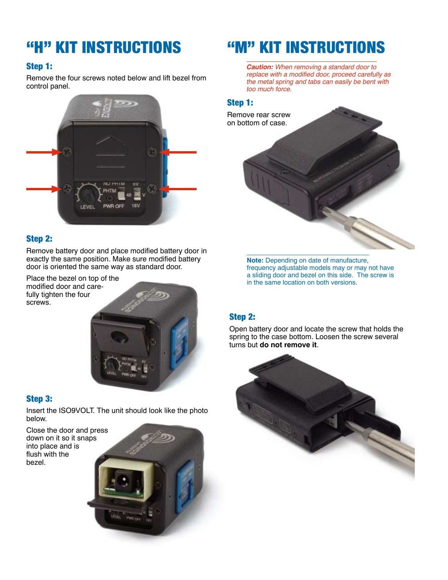#### Step 1:

Remove the four screws noted below and lift bezel from control panel.



#### Step 2:

Remove battery door and place modified battery door in exactly the same position. Make sure modified battery door is oriented the same way as standard door.

Place the bezel on top of the modified door and carefully tighten the four screws.



#### Step 3:

Insert the ISO9VOLT. The unit should look like the photo below.

Close the door and press down on it so it snaps into place and is flush with the bezel.

### "H" KIT INSTRUCTIONS "M" KIT INSTRUCTIONS

**Caution:** When removing a standard door to replace with a modified door, proceed carefully as the metal spring and tabs can easily be bent with too much force.

#### Step 1:



**Note:** Depending on date of manufacture, frequency adjustable models may or may not have a sliding door and bezel on this side. The screw is in the same location on both versions.

#### Step 2:

Open battery door and locate the screw that holds the spring to the case bottom. Loosen the screw several turns but **do not remove it**.



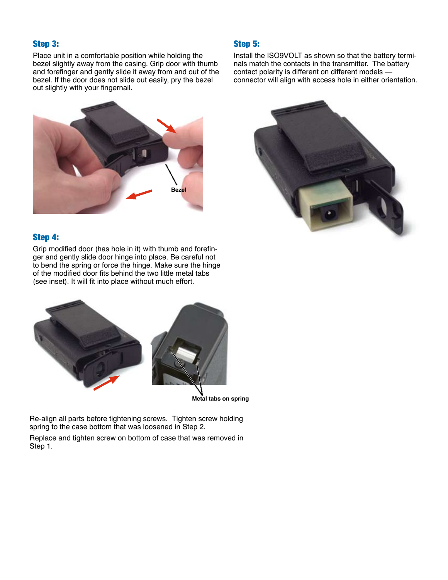#### Step 3:

Place unit in a comfortable position while holding the bezel slightly away from the casing. Grip door with thumb and forefinger and gently slide it away from and out of the bezel. If the door does not slide out easily, pry the bezel out slightly with your fingernail.

#### Step 5:

Install the ISO9VOLT as shown so that the battery terminals match the contacts in the transmitter. The battery contact polarity is different on different models connector will align with access hole in either orientation.





#### Step 4:

Grip modified door (has hole in it) with thumb and forefinger and gently slide door hinge into place. Be careful not to bend the spring or force the hinge. Make sure the hinge of the modified door fits behind the two little metal tabs (see inset). It will fit into place without much effort.



**Metal tabs on spring**

Re-align all parts before tightening screws. Tighten screw holding spring to the case bottom that was loosened in Step 2.

Replace and tighten screw on bottom of case that was removed in Step 1.